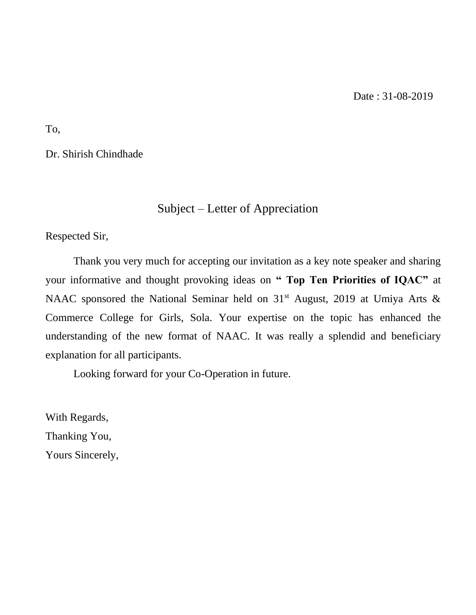To,

Dr. Shirish Chindhade

## Subject – Letter of Appreciation

Respected Sir,

Thank you very much for accepting our invitation as a key note speaker and sharing your informative and thought provoking ideas on **" Top Ten Priorities of IQAC"** at NAAC sponsored the National Seminar held on  $31<sup>st</sup>$  August, 2019 at Umiya Arts & Commerce College for Girls, Sola. Your expertise on the topic has enhanced the understanding of the new format of NAAC. It was really a splendid and beneficiary explanation for all participants.

Looking forward for your Co-Operation in future.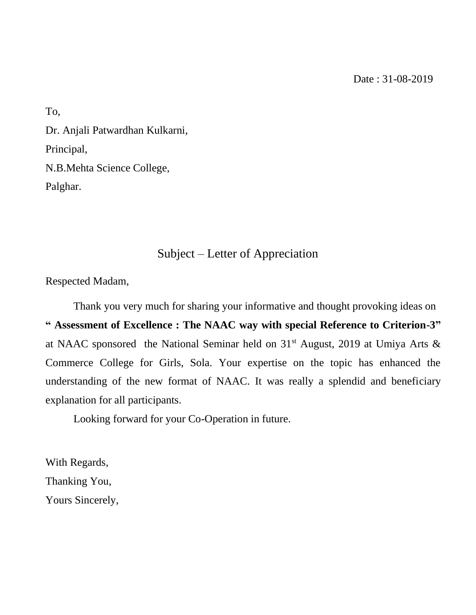To, Dr. Anjali Patwardhan Kulkarni, Principal, N.B.Mehta Science College, Palghar.

## Subject – Letter of Appreciation

Respected Madam,

Thank you very much for sharing your informative and thought provoking ideas on **" Assessment of Excellence : The NAAC way with special Reference to Criterion-3"** at NAAC sponsored the National Seminar held on  $31<sup>st</sup>$  August, 2019 at Umiya Arts & Commerce College for Girls, Sola. Your expertise on the topic has enhanced the understanding of the new format of NAAC. It was really a splendid and beneficiary explanation for all participants.

Looking forward for your Co-Operation in future.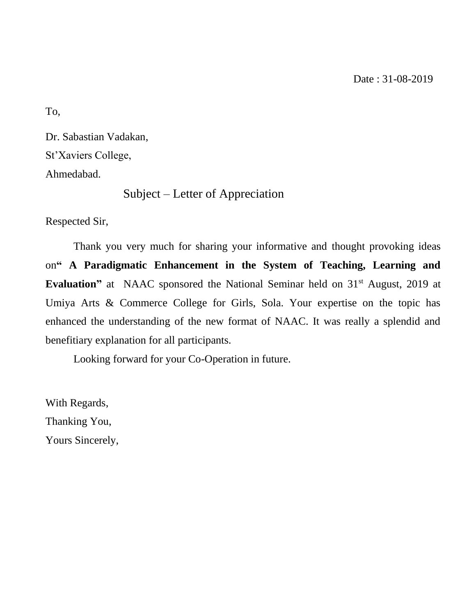Date : 31-08-2019

To,

Dr. Sabastian Vadakan, St'Xaviers College, Ahmedabad.

Subject – Letter of Appreciation

Respected Sir,

Thank you very much for sharing your informative and thought provoking ideas on**" A Paradigmatic Enhancement in the System of Teaching, Learning and Evaluation"** at NAAC sponsored the National Seminar held on 31<sup>st</sup> August, 2019 at Umiya Arts & Commerce College for Girls, Sola. Your expertise on the topic has enhanced the understanding of the new format of NAAC. It was really a splendid and benefitiary explanation for all participants.

Looking forward for your Co-Operation in future.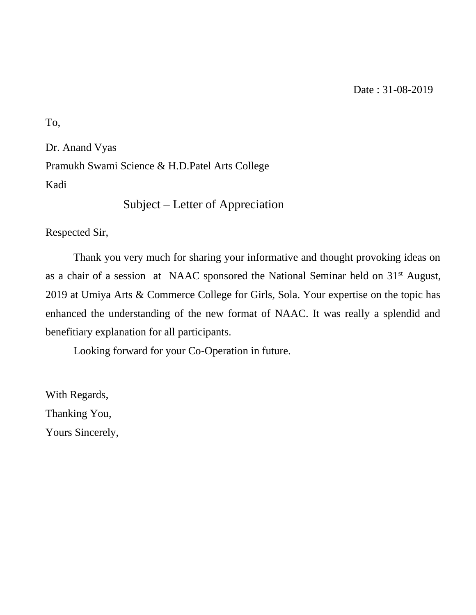To,

Dr. Anand Vyas Pramukh Swami Science & H.D.Patel Arts College Kadi

```
 Subject – Letter of Appreciation
```
Respected Sir,

Thank you very much for sharing your informative and thought provoking ideas on as a chair of a session at NAAC sponsored the National Seminar held on 31st August, 2019 at Umiya Arts & Commerce College for Girls, Sola. Your expertise on the topic has enhanced the understanding of the new format of NAAC. It was really a splendid and benefitiary explanation for all participants.

Looking forward for your Co-Operation in future.